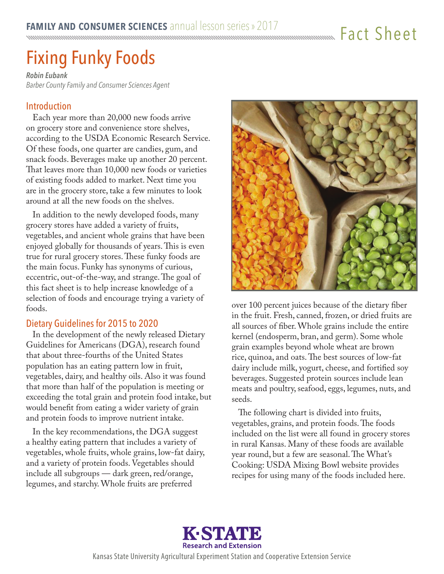## Fact Sheet

# Fixing Funky Foods

*Robin Eubank Barber County Family and Consumer Sciences Agent*

#### Introduction

Each year more than 20,000 new foods arrive on grocery store and convenience store shelves, according to the USDA Economic Research Service. Of these foods, one quarter are candies, gum, and snack foods. Beverages make up another 20 percent. That leaves more than 10,000 new foods or varieties of existing foods added to market. Next time you are in the grocery store, take a few minutes to look around at all the new foods on the shelves.

In addition to the newly developed foods, many grocery stores have added a variety of fruits, vegetables, and ancient whole grains that have been enjoyed globally for thousands of years. This is even true for rural grocery stores. These funky foods are the main focus. Funky has synonyms of curious, eccentric, out-of-the-way, and strange. The goal of this fact sheet is to help increase knowledge of a selection of foods and encourage trying a variety of foods.

#### Dietary Guidelines for 2015 to 2020

In the development of the newly released Dietary Guidelines for Americans (DGA), research found that about three-fourths of the United States population has an eating pattern low in fruit, vegetables, dairy, and healthy oils. Also it was found that more than half of the population is meeting or exceeding the total grain and protein food intake, but would benefit from eating a wider variety of grain and protein foods to improve nutrient intake.

In the key recommendations, the DGA suggest a healthy eating pattern that includes a variety of vegetables, whole fruits, whole grains, low-fat dairy, and a variety of protein foods. Vegetables should include all subgroups — dark green, red/orange, legumes, and starchy. Whole fruits are preferred



over 100 percent juices because of the dietary fiber in the fruit. Fresh, canned, frozen, or dried fruits are all sources of fiber. Whole grains include the entire kernel (endosperm, bran, and germ). Some whole grain examples beyond whole wheat are brown rice, quinoa, and oats. The best sources of low-fat dairy include milk, yogurt, cheese, and fortified soy beverages. Suggested protein sources include lean meats and poultry, seafood, eggs, legumes, nuts, and seeds.

The following chart is divided into fruits, vegetables, grains, and protein foods. The foods included on the list were all found in grocery stores in rural Kansas. Many of these foods are available year round, but a few are seasonal. The What's Cooking: USDA Mixing Bowl website provides recipes for using many of the foods included here.

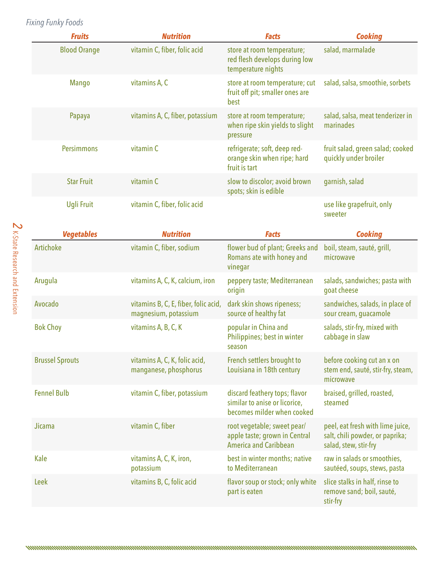### *Fixing Funky Foods*

| <b>Fruits</b>       | <b>Nutrition</b>                | <b>Facts</b>                                                                      | <b>Cooking</b>                                            |
|---------------------|---------------------------------|-----------------------------------------------------------------------------------|-----------------------------------------------------------|
| <b>Blood Orange</b> | vitamin C, fiber, folic acid    | store at room temperature;<br>red flesh develops during low<br>temperature nights | salad, marmalade                                          |
| Mango               | vitamins A, C                   | store at room temperature; cut<br>fruit off pit; smaller ones are<br>best         | salad, salsa, smoothie, sorbets                           |
| Papaya              | vitamins A, C, fiber, potassium | store at room temperature;<br>when ripe skin yields to slight<br>pressure         | salad, salsa, meat tenderizer in<br>marinades             |
| <b>Persimmons</b>   | vitamin C                       | refrigerate; soft, deep red-<br>orange skin when ripe; hard<br>fruit is tart      | fruit salad, green salad; cooked<br>quickly under broiler |
| <b>Star Fruit</b>   | vitamin C                       | slow to discolor; avoid brown<br>spots; skin is edible                            | garnish, salad                                            |
| <b>Ugli Fruit</b>   | vitamin C, fiber, folic acid    |                                                                                   | use like grapefruit, only<br>sweeter                      |

| <b>Vegetables</b>      | <b>Nutrition</b>                                             | <b>Facts</b>                                                                                 | <b>Cooking</b>                                                                               |
|------------------------|--------------------------------------------------------------|----------------------------------------------------------------------------------------------|----------------------------------------------------------------------------------------------|
| <b>Artichoke</b>       | vitamin C, fiber, sodium                                     | flower bud of plant; Greeks and<br>Romans ate with honey and<br>vinegar                      | boil, steam, sauté, grill,<br>microwave                                                      |
| Arugula                | vitamins A, C, K, calcium, iron                              | peppery taste; Mediterranean<br>origin                                                       | salads, sandwiches; pasta with<br>goat cheese                                                |
| Avocado                | vitamins B, C, E, fiber, folic acid,<br>magnesium, potassium | dark skin shows ripeness;<br>source of healthy fat                                           | sandwiches, salads, in place of<br>sour cream, guacamole                                     |
| <b>Bok Choy</b>        | vitamins A, B, C, K                                          | popular in China and<br>Philippines; best in winter<br>season                                | salads, stir-fry, mixed with<br>cabbage in slaw                                              |
| <b>Brussel Sprouts</b> | vitamins A, C, K, folic acid,<br>manganese, phosphorus       | French settlers brought to<br>Louisiana in 18th century                                      | before cooking cut an x on<br>stem end, sauté, stir-fry, steam,<br>microwave                 |
| <b>Fennel Bulb</b>     | vitamin C, fiber, potassium                                  | discard feathery tops; flavor<br>similar to anise or licorice,<br>becomes milder when cooked | braised, grilled, roasted,<br>steamed                                                        |
| Jicama                 | vitamin C, fiber                                             | root vegetable; sweet pear/<br>apple taste; grown in Central<br><b>America and Caribbean</b> | peel, eat fresh with lime juice,<br>salt, chili powder, or paprika;<br>salad, stew, stir-fry |
| Kale                   | vitamins A, C, K, iron,<br>potassium                         | best in winter months; native<br>to Mediterranean                                            | raw in salads or smoothies,<br>sautéed, soups, stews, pasta                                  |
| Leek                   | vitamins B, C, folic acid                                    | flavor soup or stock; only white<br>part is eaten                                            | slice stalks in half, rinse to<br>remove sand; boil, sauté,<br>stir-fry                      |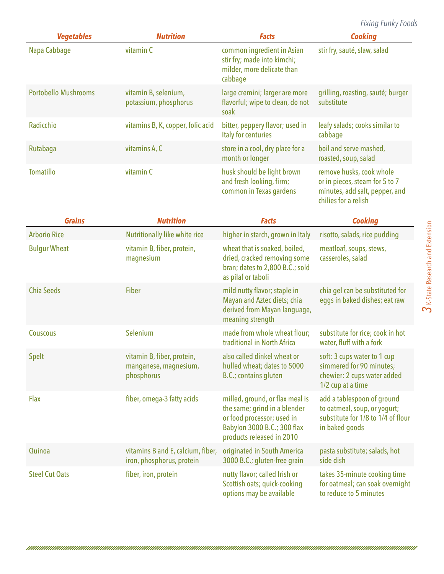*Fixing Funky Foods*

| <b>Vegetables</b>           | <b>Nutrition</b>                                                  | <b>Facts</b>                                                                                                                                              | <b>Cooking</b>                                                                                                       |
|-----------------------------|-------------------------------------------------------------------|-----------------------------------------------------------------------------------------------------------------------------------------------------------|----------------------------------------------------------------------------------------------------------------------|
| Napa Cabbage                | vitamin C                                                         | common ingredient in Asian<br>stir fry; made into kimchi;<br>milder, more delicate than<br>cabbage                                                        | stir fry, sauté, slaw, salad                                                                                         |
| <b>Portobello Mushrooms</b> | vitamin B, selenium,<br>potassium, phosphorus                     | large cremini; larger are more<br>flavorful; wipe to clean, do not<br>soak                                                                                | grilling, roasting, sauté; burger<br>substitute                                                                      |
| Radicchio                   | vitamins B, K, copper, folic acid                                 | bitter, peppery flavor; used in<br>Italy for centuries                                                                                                    | leafy salads; cooks similar to<br>cabbage                                                                            |
| Rutabaga                    | vitamins A, C                                                     | store in a cool, dry place for a<br>month or longer                                                                                                       | boil and serve mashed,<br>roasted, soup, salad                                                                       |
| <b>Tomatillo</b>            | vitamin C                                                         | husk should be light brown<br>and fresh looking, firm;<br>common in Texas gardens                                                                         | remove husks, cook whole<br>or in pieces, steam for 5 to 7<br>minutes, add salt, pepper, and<br>chilies for a relish |
| <b>Grains</b>               | <b>Nutrition</b>                                                  | <b>Facts</b>                                                                                                                                              | <b>Cooking</b>                                                                                                       |
| <b>Arborio Rice</b>         | <b>Nutritionally like white rice</b>                              | higher in starch, grown in Italy                                                                                                                          | risotto, salads, rice pudding                                                                                        |
| <b>Bulgur Wheat</b>         | vitamin B, fiber, protein,<br>magnesium                           | wheat that is soaked, boiled,<br>dried, cracked removing some<br>bran; dates to 2,800 B.C.; sold<br>as pilaf or taboli                                    | meatloaf, soups, stews,<br>casseroles, salad                                                                         |
| <b>Chia Seeds</b>           | <b>Fiber</b>                                                      | mild nutty flavor; staple in<br>Mayan and Aztec diets; chia<br>derived from Mayan language,<br>meaning strength                                           | chia gel can be substituted for<br>eggs in baked dishes; eat raw                                                     |
| <b>Couscous</b>             | Selenium                                                          | made from whole wheat flour;<br>traditional in North Africa                                                                                               | substitute for rice; cook in hot<br>water, fluff with a fork                                                         |
| Spelt                       | vitamin B, fiber, protein,<br>manganese, magnesium,<br>phosphorus | also called dinkel wheat or<br>hulled wheat; dates to 5000<br>B.C.; contains gluten                                                                       | soft: 3 cups water to 1 cup<br>simmered for 90 minutes;<br>chewier: 2 cups water added<br>1/2 cup at a time          |
| Flax                        | fiber, omega-3 fatty acids                                        | milled, ground, or flax meal is<br>the same; grind in a blender<br>or food processor; used in<br>Babylon 3000 B.C.; 300 flax<br>products released in 2010 | add a tablespoon of ground<br>to oatmeal, soup, or yogurt;<br>substitute for 1/8 to 1/4 of flour<br>in baked goods   |
| Quinoa                      | vitamins B and E, calcium, fiber,<br>iron, phosphorus, protein    | originated in South America<br>3000 B.C.; gluten-free grain                                                                                               | pasta substitute; salads, hot<br>side dish                                                                           |
| <b>Steel Cut Oats</b>       | fiber, iron, protein                                              | nutty flavor; called Irish or<br>Scottish oats; quick-cooking<br>options may be available                                                                 | takes 35-minute cooking time<br>for oatmeal; can soak overnight<br>to reduce to 5 minutes                            |